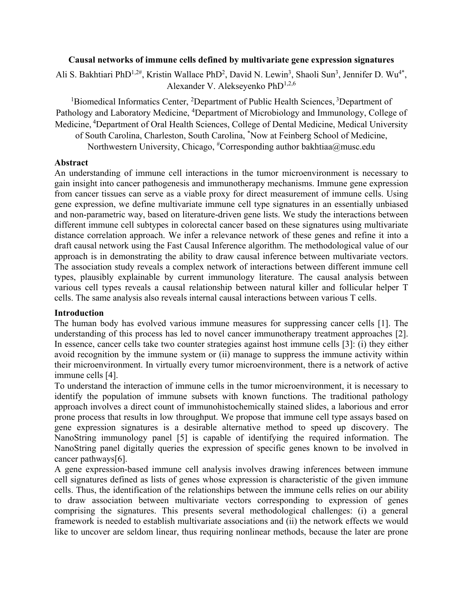### **Causal networks of immune cells defined by multivariate gene expression signatures**

Ali S. Bakhtiari PhD<sup>1,2#</sup>, Kristin Wallace PhD<sup>2</sup>, David N. Lewin<sup>3</sup>, Shaoli Sun<sup>3</sup>, Jennifer D. Wu<sup>4\*</sup>, Alexander V. Alekseyenko PhD<sup>1,2,6</sup>

<sup>1</sup>Biomedical Informatics Center, <sup>2</sup>Department of Public Health Sciences, <sup>3</sup>Department of Pathology and Laboratory Medicine, <sup>4</sup>Department of Microbiology and Immunology, College of Medicine, 4Department of Oral Health Sciences, College of Dental Medicine, Medical University

of South Carolina, Charleston, South Carolina, \* Now at Feinberg School of Medicine, Northwestern University, Chicago,  ${}^{\#}$ Corresponding author bakhtiaa@musc.edu

#### **Abstract**

An understanding of immune cell interactions in the tumor microenvironment is necessary to gain insight into cancer pathogenesis and immunotherapy mechanisms. Immune gene expression from cancer tissues can serve as a viable proxy for direct measurement of immune cells. Using gene expression, we define multivariate immune cell type signatures in an essentially unbiased and non-parametric way, based on literature-driven gene lists. We study the interactions between different immune cell subtypes in colorectal cancer based on these signatures using multivariate distance correlation approach. We infer a relevance network of these genes and refine it into a draft causal network using the Fast Causal Inference algorithm. The methodological value of our approach is in demonstrating the ability to draw causal inference between multivariate vectors. The association study reveals a complex network of interactions between different immune cell types, plausibly explainable by current immunology literature. The causal analysis between various cell types reveals a causal relationship between natural killer and follicular helper T cells. The same analysis also reveals internal causal interactions between various T cells.

### **Introduction**

The human body has evolved various immune measures for suppressing cancer cells [1]. The understanding of this process has led to novel cancer immunotherapy treatment approaches [2]. In essence, cancer cells take two counter strategies against host immune cells [3]: (i) they either avoid recognition by the immune system or (ii) manage to suppress the immune activity within their microenvironment. In virtually every tumor microenvironment, there is a network of active immune cells [4].

To understand the interaction of immune cells in the tumor microenvironment, it is necessary to identify the population of immune subsets with known functions. The traditional pathology approach involves a direct count of immunohistochemically stained slides, a laborious and error prone process that results in low throughput. We propose that immune cell type assays based on gene expression signatures is a desirable alternative method to speed up discovery. The NanoString immunology panel [5] is capable of identifying the required information. The NanoString panel digitally queries the expression of specific genes known to be involved in cancer pathways[6].

A gene expression-based immune cell analysis involves drawing inferences between immune cell signatures defined as lists of genes whose expression is characteristic of the given immune cells. Thus, the identification of the relationships between the immune cells relies on our ability to draw association between multivariate vectors corresponding to expression of genes comprising the signatures. This presents several methodological challenges: (i) a general framework is needed to establish multivariate associations and (ii) the network effects we would like to uncover are seldom linear, thus requiring nonlinear methods, because the later are prone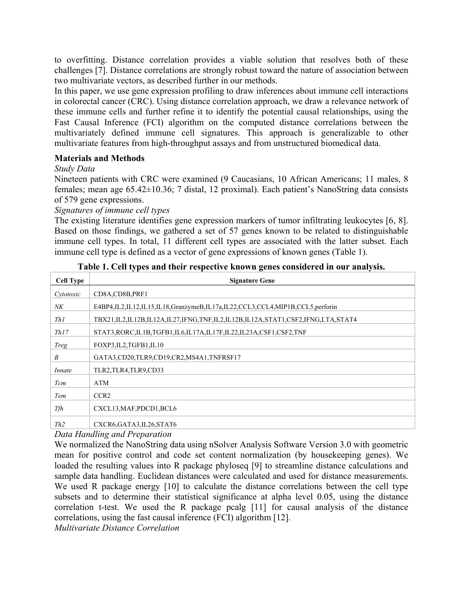to overfitting. Distance correlation provides a viable solution that resolves both of these challenges [7]. Distance correlations are strongly robust toward the nature of association between two multivariate vectors, as described further in our methods.

In this paper, we use gene expression profiling to draw inferences about immune cell interactions in colorectal cancer (CRC). Using distance correlation approach, we draw a relevance network of these immune cells and further refine it to identify the potential causal relationships, using the Fast Causal Inference (FCI) algorithm on the computed distance correlations between the multivariately defined immune cell signatures. This approach is generalizable to other multivariate features from high-throughput assays and from unstructured biomedical data.

# **Materials and Methods**

# *Study Data*

Nineteen patients with CRC were examined (9 Caucasians, 10 African Americans; 11 males, 8 females; mean age 65.42±10.36; 7 distal, 12 proximal). Each patient's NanoString data consists of 579 gene expressions.

*Signatures of immune cell types* 

The existing literature identifies gene expression markers of tumor infiltrating leukocytes [6, 8]. Based on those findings, we gathered a set of 57 genes known to be related to distinguishable immune cell types. In total, 11 different cell types are associated with the latter subset. Each immune cell type is defined as a vector of gene expressions of known genes (Table 1).

| <b>Cell Type</b> | <b>Signature Gene</b>                                                         |  |  |  |  |  |
|------------------|-------------------------------------------------------------------------------|--|--|--|--|--|
| Cytotoxic        | CD8A,CD8B,PRF1                                                                |  |  |  |  |  |
| NK               | E4BP4,IL2,IL12,IL15,IL18,GranzymeB,IL17a,IL22,CCL3,CCL4,MIP1B,CCL5,perforin   |  |  |  |  |  |
| Th1              | TBX21,IL2,IL12B,IL12A,IL27,IFNG,TNF,IL2,IL12B,IL12A,STAT1,CSF2,IFNG,LTA,STAT4 |  |  |  |  |  |
| Th17             | STAT3, RORC, IL1B, TGFB1, IL6, IL17A, IL17F, IL22, IL23A, CSF1, CSF2, TNF     |  |  |  |  |  |
| Treg             | FOXP3, IL2, TGFB1, IL10                                                       |  |  |  |  |  |
| B                | GATA3,CD20,TLR9,CD19,CR2,MS4A1,TNFRSF17                                       |  |  |  |  |  |
| Innate           | TLR2, TLR4, TLR9, CD33                                                        |  |  |  |  |  |
| Tcm              | ATM                                                                           |  |  |  |  |  |
| Tem              | CCR <sub>2</sub>                                                              |  |  |  |  |  |
| Tfh              | CXCL13, MAF, PDCD1, BCL6                                                      |  |  |  |  |  |
| Th2              | CXCR6, GATA3, IL26, STAT6                                                     |  |  |  |  |  |

**Table 1. Cell types and their respective known genes considered in our analysis.**

*Data Handling and Preparation* 

We normalized the NanoString data using nSolver Analysis Software Version 3.0 with geometric mean for positive control and code set content normalization (by housekeeping genes). We loaded the resulting values into R package phyloseq [9] to streamline distance calculations and sample data handling. Euclidean distances were calculated and used for distance measurements. We used R package energy [10] to calculate the distance correlations between the cell type subsets and to determine their statistical significance at alpha level 0.05, using the distance correlation t-test. We used the R package pcalg [11] for causal analysis of the distance correlations, using the fast causal inference (FCI) algorithm [12].

*Multivariate Distance Correlation*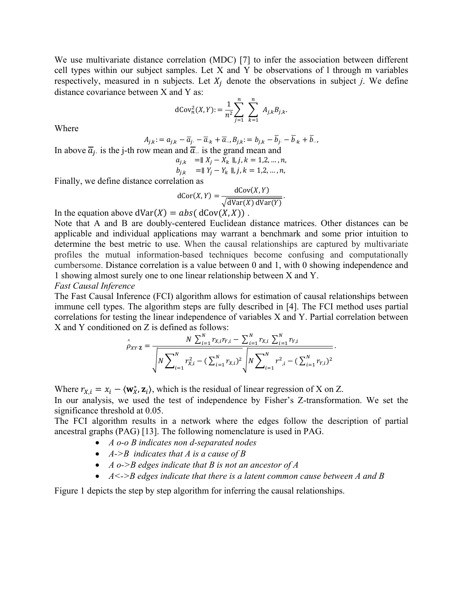We use multivariate distance correlation (MDC) [7] to infer the association between different cell types within our subject samples. Let X and Y be observations of l through m variables respectively, measured in n subjects. Let  $X_i$  denote the observations in subject *j*. We define distance covariance between X and Y as:

$$
dCov_n^2(X,Y) := \frac{1}{n^2} \sum_{j=1}^n \sum_{k=1}^n A_{j,k} B_{j,k}.
$$

Where

$$
A_{j,k} := a_{j,k} - \overline{a}_{j} - \overline{a}_{k} + \overline{a}_{\cdot\cdot}, B_{j,k} := b_{j,k} - \overline{b}_{j} - \overline{b}_{\cdot k} + \overline{b}_{\cdot\cdot},
$$

In above  $\overline{a}_i$  is the j-th row mean and  $\overline{a}_i$  is the grand mean and

$$
a_{j,k} = || X_j - X_k ||, j, k = 1,2,...,n,
$$
  
\n
$$
b_{j,k} = || Y_j - Y_k ||, j, k = 1,2,...,n,
$$

Finally, we define distance correlation as

$$
dCor(X, Y) = \frac{dCov(X, Y)}{\sqrt{dVar(X) dVar(Y)}}.
$$

In the equation above  $dVar(X) = abs(dCov(X, X))$ .

Note that A and B are doubly-centered Euclidean distance matrices. Other distances can be applicable and individual applications may warrant a benchmark and some prior intuition to determine the best metric to use. When the causal relationships are captured by multivariate profiles the mutual information-based techniques become confusing and computationally cumbersome. Distance correlation is a value between 0 and 1, with 0 showing independence and 1 showing almost surely one to one linear relationship between X and Y.

*Fast Causal Inference* 

The Fast Causal Inference (FCI) algorithm allows for estimation of causal relationships between immune cell types. The algorithm steps are fully described in [4]. The FCI method uses partial correlations for testing the linear independence of variables X and Y. Partial correlation between X and Y conditioned on Z is defined as follows:

$$
\hat{\rho}_{XY\cdot Z} = \frac{N \sum_{i=1}^{N} r_{X,i} r_{Y,i} - \sum_{i=1}^{N} r_{X,i} \sum_{i=1}^{N} r_{Y,i}}{\sqrt{N \sum_{i=1}^{N} r_{X,i}^{2} - (\sum_{i=1}^{N} r_{X,i})^{2}} \sqrt{N \sum_{i=1}^{N} r_{X,i}^{2} - (\sum_{i=1}^{N} r_{Y,i})^{2}}}.
$$

Where  $r_{X,i} = x_i - \langle \mathbf{w}_X^*, \mathbf{z}_i \rangle$ , which is the residual of linear regression of X on Z.

In our analysis, we used the test of independence by Fisher's Z-transformation. We set the significance threshold at 0.05.

The FCI algorithm results in a network where the edges follow the description of partial ancestral graphs (PAG) [13]. The following nomenclature is used in PAG.

- *A o-o B indicates non d-separated nodes*
- *A->B indicates that A is a cause of B*
- *A o->B edges indicate that B is not an ancestor of A*
- *A<->B edges indicate that there is a latent common cause between A and B*

Figure 1 depicts the step by step algorithm for inferring the causal relationships.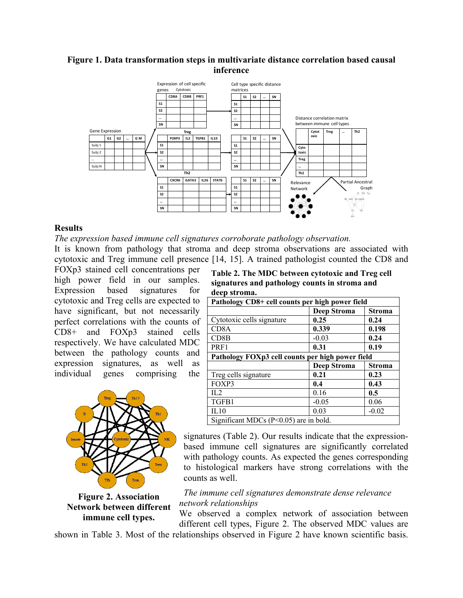## **Figure 1. Data transformation steps in multivariate distance correlation based causal inference**



#### **Results**

*The expression based immune cell signatures corroborate pathology observation.* 

It is known from pathology that stroma and deep stroma observations are associated with cytotoxic and Treg immune cell presence [14, 15]. A trained pathologist counted the CD8 and

FOXp3 stained cell concentrations per high power field in our samples. Expression based signatures for cytotoxic and Treg cells are expected to have significant, but not necessarily perfect correlations with the counts of CD8+ and FOXp3 stained cells respectively. We have calculated MDC between the pathology counts and expression signatures, as well as individual genes comprising the



**Figure 2. Association Network between different immune cell types.**

**Table 2. The MDC between cytotoxic and Treg cell signatures and pathology counts in stroma and deep stroma.** 

| Pathology CD8+ cell counts per high power field  |                    |               |  |  |  |  |  |  |
|--------------------------------------------------|--------------------|---------------|--|--|--|--|--|--|
|                                                  | <b>Deep Stroma</b> | <b>Stroma</b> |  |  |  |  |  |  |
| Cytotoxic cells signature                        | 0.25               | 0.24          |  |  |  |  |  |  |
| CD <sub>8</sub> A                                | 0.339              | 0.198         |  |  |  |  |  |  |
| CD8B                                             | $-0.03$            | 0.24          |  |  |  |  |  |  |
| PRF1                                             | 0.31               | 0.19          |  |  |  |  |  |  |
| Pathology FOXp3 cell counts per high power field |                    |               |  |  |  |  |  |  |
|                                                  | <b>Deep Stroma</b> | <b>Stroma</b> |  |  |  |  |  |  |
| Treg cells signature                             | 0.21               | 0.23          |  |  |  |  |  |  |
| FOXP3                                            | 0.4                | 0.43          |  |  |  |  |  |  |
| $\Pi$ .2                                         | 0.16               | $0.5^{\circ}$ |  |  |  |  |  |  |
| TGFB1                                            | $-0.05$            | 0.06          |  |  |  |  |  |  |
| IL10                                             | 0.03               | $-0.02$       |  |  |  |  |  |  |
| Significant MDCs $(P<0.05)$ are in bold.         |                    |               |  |  |  |  |  |  |

signatures (Table 2). Our results indicate that the expressionbased immune cell signatures are significantly correlated with pathology counts. As expected the genes corresponding to histological markers have strong correlations with the counts as well.

*The immune cell signatures demonstrate dense relevance network relationships* 

We observed a complex network of association between different cell types, Figure 2. The observed MDC values are

shown in Table 3. Most of the relationships observed in Figure 2 have known scientific basis.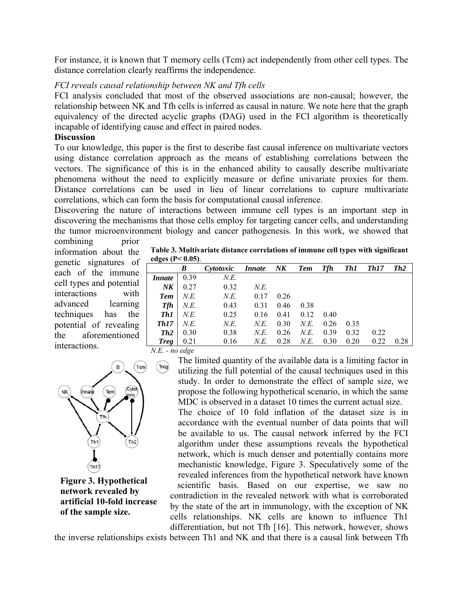For instance, it is known that T memory cells (Tcm) act independently from other cell types. The distance correlation clearly reaffirms the independence.

### *FCI reveals causal relationship between NK and Tfh cells*

FCI analysis concluded that most of the observed associations are non-causal; however, the relationship between NK and Tfh cells is inferred as causal in nature. We note here that the graph equivalency of the directed acyclic graphs (DAG) used in the FCI algorithm is theoretically incapable of identifying cause and effect in paired nodes.

# **Discussion**

To our knowledge, this paper is the first to describe fast causal inference on multivariate vectors using distance correlation approach as the means of establishing correlations between the vectors. The significance of this is in the enhanced ability to causally describe multivariate phenomena without the need to explicitly measure or define univariate proxies for them. Distance correlations can be used in lieu of linear correlations to capture multivariate correlations, which can form the basis for computational causal inference.

Discovering the nature of interactions between immune cell types is an important step in discovering the mechanisms that those cells employ for targeting cancer cells, and understanding the tumor microenvironment biology and cancer pathogenesis. In this work, we showed that combining prior

information about the genetic signatures of each of the immune cell types and potential interactions with advanced learning techniques has the potential of revealing the aforementioned interactions.



**Figure 3. Hypothetical network revealed by artificial 10-fold increase of the sample size.**

**Table 3. Multivariate distance correlations of immune cell types with significant edges (P< 0.05)**.

| $\epsilon$                   |      |           |               |        |            |      |      |             |      |
|------------------------------|------|-----------|---------------|--------|------------|------|------|-------------|------|
|                              | B    | Cytotoxic | <i>Innate</i> | $N\!K$ | <b>Tem</b> | Tfh  | Th1  | <b>Th17</b> | Th2  |
| <i>Innate</i>                | 0.39 | N.E.      |               |        |            |      |      |             |      |
| $N\!K$                       | 0.27 | 0.32      | N.E.          |        |            |      |      |             |      |
| <b>Tem</b>                   | N.E. | N.E.      | 0.17          | 0.26   |            |      |      |             |      |
| <b>Tfh</b>                   | N.E. | 0.43      | 0.31          | 0.46   | 0.38       |      |      |             |      |
| Th1                          | N.E. | 0.25      | 0.16          | 0.41   | 0.12       | 0.40 |      |             |      |
| Th17                         | N.E. | N.E.      | N.E.          | 0.30   | N.E.       | 0.26 | 0.35 |             |      |
| Th2                          | 0.30 | 0.38      | N.E.          | 0.26   | N.E.       | 0.39 | 0.32 | 0.22        |      |
| <b>Treg</b>                  | 0.21 | 0.16      | N.E.          | 0.28   | N.E.       | 0.30 | 0.20 | 0.22        | 0.28 |
| $\mathbf{I}$<br>$\mathbf{r}$ |      |           |               |        |            |      |      |             |      |

*N.E. - no edge* 

The limited quantity of the available data is a limiting factor in utilizing the full potential of the causal techniques used in this study. In order to demonstrate the effect of sample size, we propose the following hypothetical scenario, in which the same MDC is observed in a dataset 10 times the current actual size.

The choice of 10 fold inflation of the dataset size is in accordance with the eventual number of data points that will be available to us. The causal network inferred by the FCI algorithm under these assumptions reveals the hypothetical network, which is much denser and potentially contains more mechanistic knowledge, Figure 3. Speculatively some of the revealed inferences from the hypothetical network have known scientific basis. Based on our expertise, we saw no contradiction in the revealed network with what is corroborated by the state of the art in immunology, with the exception of NK cells relationships. NK cells are known to influence Th1 differentiation, but not Tfh [16]. This network, however, shows

the inverse relationships exists between Th1 and NK and that there is a causal link between Tfh